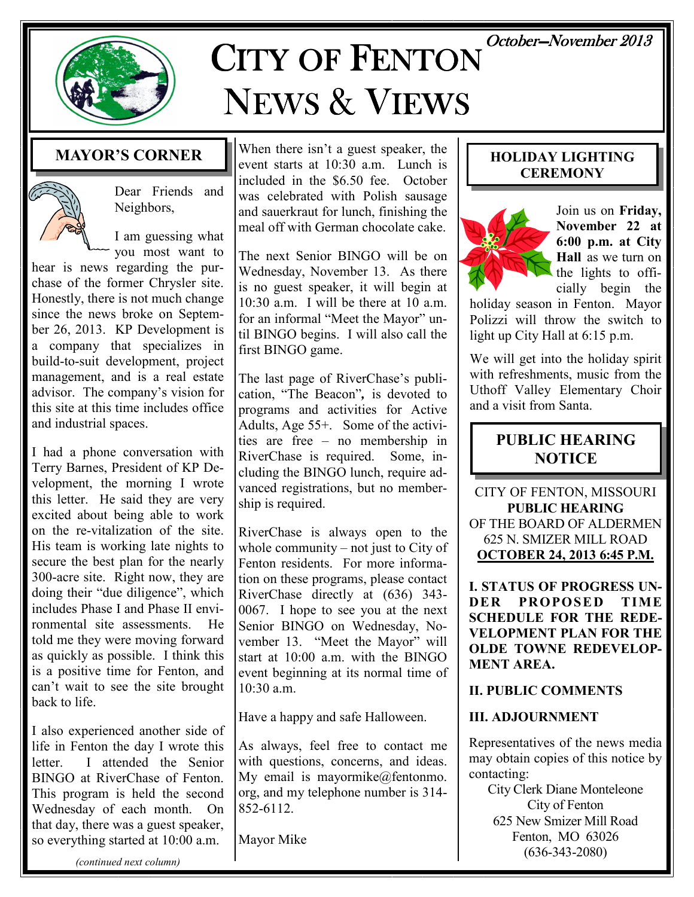October-November 2013



# CITY OF FENTON NEWS & VIEWS

# MAYOR'S CORNER



Dear Friends and Neighbors,

I am guessing what you most want to

hear is news regarding the purchase of the former Chrysler site. Honestly, there is not much change since the news broke on September 26, 2013. KP Development is a company that specializes in build-to-suit development, project management, and is a real estate advisor. The company's vision for this site at this time includes office and industrial spaces.

I had a phone conversation with Terry Barnes, President of KP Development, the morning I wrote this letter. He said they are very excited about being able to work on the re-vitalization of the site. His team is working late nights to secure the best plan for the nearly 300-acre site. Right now, they are doing their "due diligence", which includes Phase I and Phase II environmental site assessments. He told me they were moving forward as quickly as possible. I think this is a positive time for Fenton, and can't wait to see the site brought back to life.

I also experienced another side of life in Fenton the day I wrote this letter. I attended the Senior BINGO at RiverChase of Fenton. This program is held the second Wednesday of each month. On that day, there was a guest speaker, so everything started at 10:00 a.m.

When there isn't a guest speaker, the event starts at 10:30 a.m. Lunch is included in the \$6.50 fee. October was celebrated with Polish sausage and sauerkraut for lunch, finishing the meal off with German chocolate cake.

The next Senior BINGO will be on Wednesday, November 13. As there is no guest speaker, it will begin at 10:30 a.m. I will be there at 10 a.m. for an informal "Meet the Mayor" until BINGO begins. I will also call the first BINGO game.

The last page of RiverChase's publication, "The Beacon", is devoted to programs and activities for Active Adults, Age 55+. Some of the activities are free – no membership in RiverChase is required. Some, including the BINGO lunch, require advanced registrations, but no membership is required.

RiverChase is always open to the whole community – not just to City of Fenton residents. For more information on these programs, please contact RiverChase directly at (636) 343- 0067. I hope to see you at the next Senior BINGO on Wednesday, November 13. "Meet the Mayor" will start at 10:00 a.m. with the BINGO event beginning at its normal time of  $10.30 a m$ 

Have a happy and safe Halloween.

As always, feel free to contact me with questions, concerns, and ideas. My email is mayormike@fentonmo. org, and my telephone number is 314- 852-6112.

Mayor Mike

#### HOLIDAY LIGHTING **CEREMONY**



Join us on Friday, November 22 at 6:00 p.m. at City Hall as we turn on the lights to officially begin the

holiday season in Fenton. Mayor Polizzi will throw the switch to light up City Hall at 6:15 p.m.

We will get into the holiday spirit with refreshments, music from the Uthoff Valley Elementary Choir and a visit from Santa.

# PUBLIC HEARING **NOTICE**

CITY OF FENTON, MISSOURI PUBLIC HEARING OF THE BOARD OF ALDERMEN 625 N. SMIZER MILL ROAD OCTOBER 24, 2013 6:45 P.M.

**L STATUS OF PROGRESS UN-<br>DER PROPOSED TIME** PROPOSED TIME SCHEDULE FOR THE REDE-VELOPMENT PLAN FOR THE OLDE TOWNE REDEVELOP-MENT AREA.

#### II. PUBLIC COMMENTS

#### III. ADJOURNMENT

Representatives of the news media may obtain copies of this notice by contacting:

City Clerk Diane Monteleone City of Fenton 625 New Smizer Mill Road Fenton, MO 63026 (636-343-2080)

(continued next column)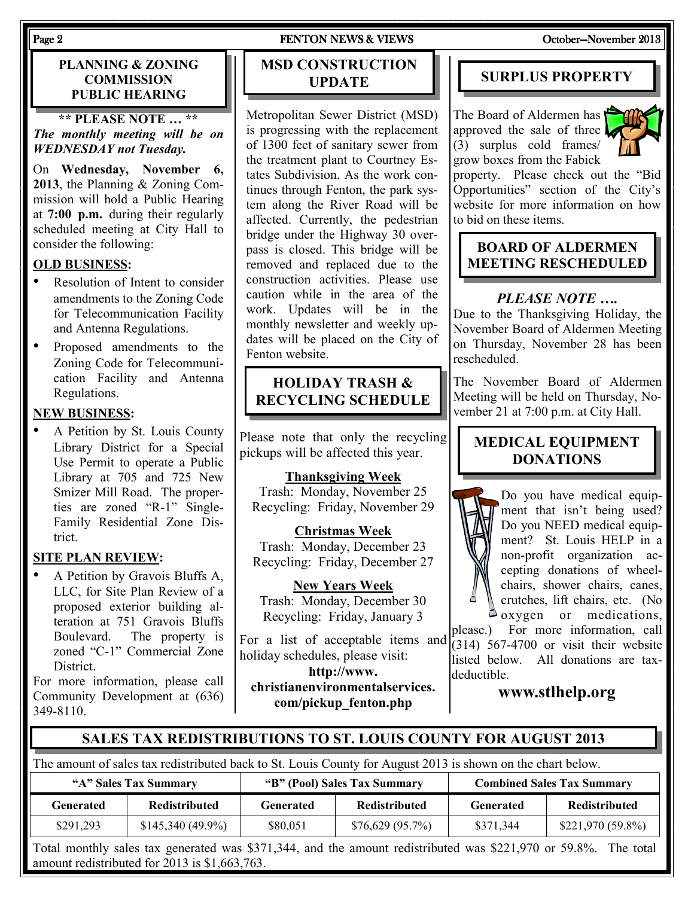#### PLANNING & ZONING **COMMISSION** PUBLIC HEARING

\*\* PLEASE NOTE … \*\* The monthly meeting will be on WEDNESDAY not Tuesday.

On Wednesday, November 6, 2013, the Planning & Zoning Commission will hold a Public Hearing at 7:00 p.m. during their regularly scheduled meeting at City Hall to consider the following:

#### OLD BUSINESS:

- Resolution of Intent to consider amendments to the Zoning Code for Telecommunication Facility and Antenna Regulations.
- Proposed amendments to the Zoning Code for Telecommunication Facility and Antenna Regulations.

#### NEW BUSINESS:

• A Petition by St. Louis County Library District for a Special Use Permit to operate a Public Library at 705 and 725 New Smizer Mill Road. The properties are zoned "R-1" Single-Family Residential Zone District.

#### SITE PLAN REVIEW:

• A Petition by Gravois Bluffs A, LLC, for Site Plan Review of a proposed exterior building alteration at 751 Gravois Bluffs Boulevard. The property is zoned "C-1" Commercial Zone **District** 

For more information, please call Community Development at (636) 349-8110.

#### Page 2 FENTON NEWS & VIEWS FENTON NEWS ASSESSMENT OCTOber—November 2013

# MSD CONSTRUCTION UPDATE

Metropolitan Sewer District (MSD) is progressing with the replacement of 1300 feet of sanitary sewer from the treatment plant to Courtney Estates Subdivision. As the work continues through Fenton, the park system along the River Road will be affected. Currently, the pedestrian bridge under the Highway 30 overpass is closed. This bridge will be removed and replaced due to the construction activities. Please use caution while in the area of the work. Updates will be in the monthly newsletter and weekly updates will be placed on the City of Fenton website.

### HOLIDAY TRASH & RECYCLING SCHEDULE

Please note that only the recycling pickups will be affected this year.

#### Thanksgiving Week

Trash: Monday, November 25 Recycling: Friday, November 29

Christmas Week Trash: Monday, December 23 Recycling: Friday, December 27

New Years Week Trash: Monday, December 30 Recycling: Friday, January 3

For a list of acceptable items and holiday schedules, please visit:

http://www. christianenvironmentalservices. com/pickup\_fenton.php

# SURPLUS PROPERTY

The Board of Aldermen has approved the sale of three (3) surplus cold frames/ grow boxes from the Fabick



property. Please check out the "Bid Opportunities" section of the City's website for more information on how to bid on these items.

# BOARD OF ALDERMEN MEETING RESCHEDULED

### PLEASE NOTE ….

Due to the Thanksgiving Holiday, the November Board of Aldermen Meeting on Thursday, November 28 has been rescheduled.

The November Board of Aldermen Meeting will be held on Thursday, November 21 at 7:00 p.m. at City Hall.

# MEDICAL EQUIPMENT DONATIONS



Do you have medical equipment that isn't being used? Do you NEED medical equipment? St. Louis HELP in a non-profit organization accepting donations of wheelchairs, shower chairs, canes, crutches, lift chairs, etc. (No  $\Box$  oxygen or medications,

please.) For more information, call (314) 567-4700 or visit their website listed below. All donations are taxdeductible.

www.stlhelp.org

#### SALES TAX REDISTRIBUTIONS TO ST. LOUIS COUNTY FOR AUGUST 2013

The amount of sales tax redistributed back to St. Louis County for August 2013 is shown on the chart below.

| "A" Sales Tax Summary |                      | "B" (Pool) Sales Tax Summary |                      | <b>Combined Sales Tax Summary</b> |                      |
|-----------------------|----------------------|------------------------------|----------------------|-----------------------------------|----------------------|
| Generated             | <b>Redistributed</b> | Generated                    | <b>Redistributed</b> | Generated                         | <b>Redistributed</b> |
| \$291,293             | $$145,340(49.9\%)$   | \$80.051                     | \$76,629 (95.7%)     | \$371,344                         | $$221,970 (59.8\%)$  |

Total monthly sales tax generated was \$371,344, and the amount redistributed was \$221,970 or 59.8%. The total amount redistributed for 2013 is \$1,663,763.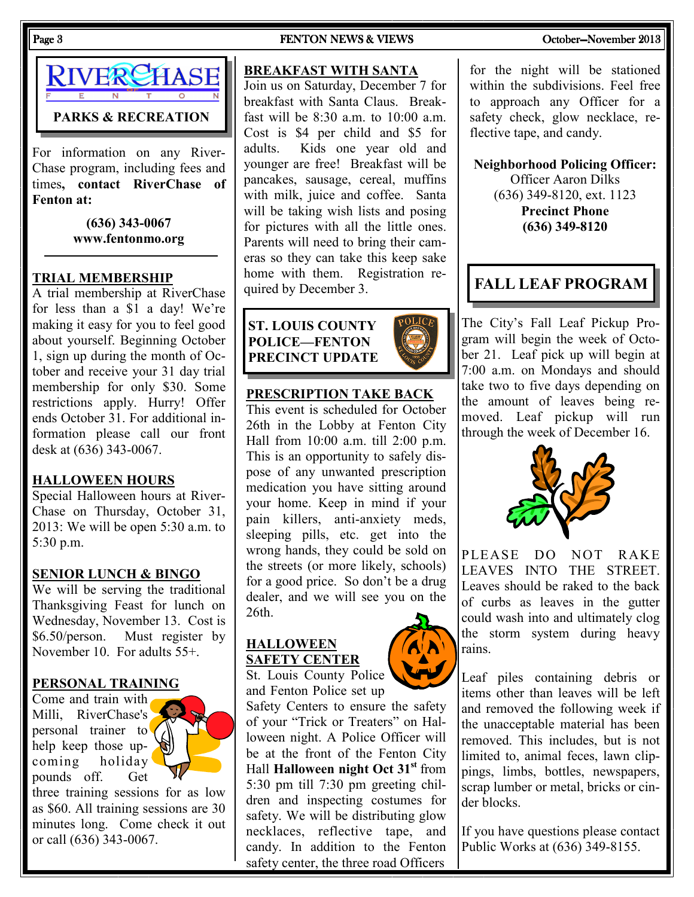

For information on any River-Chase program, including fees and times, contact RiverChase of Fenton at:

> (636) 343-0067 www.fentonmo.org

#### TRIAL MEMBERSHIP

A trial membership at RiverChase for less than a \$1 a day! We're making it easy for you to feel good about yourself. Beginning October 1, sign up during the month of October and receive your 31 day trial membership for only \$30. Some restrictions apply. Hurry! Offer ends October 31. For additional information please call our front desk at (636) 343-0067.

#### HALLOWEEN HOURS

Special Halloween hours at River-Chase on Thursday, October 31, 2013: We will be open 5:30 a.m. to 5:30 p.m.

#### SENIOR LUNCH & BINGO

We will be serving the traditional Thanksgiving Feast for lunch on Wednesday, November 13. Cost is \$6.50/person. Must register by November 10. For adults 55+.

#### PERSONAL TRAINING

Come and train with Milli, RiverChase's personal trainer to help keep those upcoming holiday pounds off. Get

three training sessions for as low as \$60. All training sessions are 30 minutes long. Come check it out or call (636) 343-0067.

#### Page 3 FENTON NEWS & VIEWS FENTON NEWS ASSESSMENT OCTOber—November 2013

#### BREAKFAST WITH SANTA

Join us on Saturday, December 7 for breakfast with Santa Claus. Breakfast will be 8:30 a.m. to 10:00 a.m. Cost is \$4 per child and \$5 for adults. Kids one year old and younger are free! Breakfast will be pancakes, sausage, cereal, muffins with milk, juice and coffee. Santa will be taking wish lists and posing for pictures with all the little ones. Parents will need to bring their cameras so they can take this keep sake home with them. Registration required by December 3.

## ST. LOUIS COUNTY POLICE—FENTON PRECINCT UPDATE

#### PRESCRIPTION TAKE BACK

This event is scheduled for October 26th in the Lobby at Fenton City Hall from 10:00 a.m. till 2:00 p.m. This is an opportunity to safely dispose of any unwanted prescription medication you have sitting around your home. Keep in mind if your pain killers, anti-anxiety meds, sleeping pills, etc. get into the wrong hands, they could be sold on the streets (or more likely, schools) for a good price. So don't be a drug dealer, and we will see you on the 26th.

#### HALLOWEEN SAFETY CENTER

St. Louis County Police and Fenton Police set up

Safety Centers to ensure the safety of your "Trick or Treaters" on Halloween night. A Police Officer will be at the front of the Fenton City Hall Halloween night Oct 31<sup>st</sup> from 5:30 pm till 7:30 pm greeting children and inspecting costumes for safety. We will be distributing glow necklaces, reflective tape, and candy. In addition to the Fenton safety center, the three road Officers

#### for the night will be stationed within the subdivisions. Feel free to approach any Officer for a safety check, glow necklace, reflective tape, and candy.

Neighborhood Policing Officer:

Officer Aaron Dilks (636) 349-8120, ext. 1123 Precinct Phone (636) 349-8120

# FALL LEAF PROGRAM

The City's Fall Leaf Pickup Program will begin the week of October 21. Leaf pick up will begin at 7:00 a.m. on Mondays and should take two to five days depending on the amount of leaves being removed. Leaf pickup will run through the week of December 16.



PLEASE DO NOT RAKE LEAVES INTO THE STREET. Leaves should be raked to the back of curbs as leaves in the gutter could wash into and ultimately clog the storm system during heavy rains.

Leaf piles containing debris or items other than leaves will be left and removed the following week if the unacceptable material has been removed. This includes, but is not limited to, animal feces, lawn clippings, limbs, bottles, newspapers, scrap lumber or metal, bricks or cinder blocks.

If you have questions please contact Public Works at (636) 349-8155.



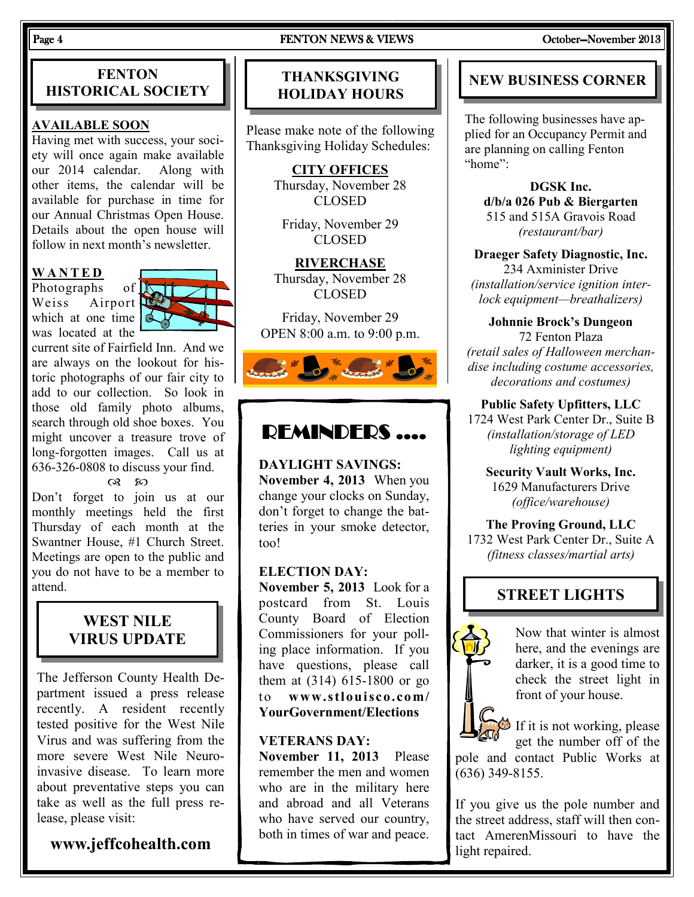#### Page 4 FENTON NEWS & VIEWS FENTON NEWS & COLODER-November 2013

### **FENTON** HISTORICAL SOCIETY

#### AVAILABLE SOON

Having met with success, your society will once again make available our 2014 calendar. Along with other items, the calendar will be available for purchase in time for our Annual Christmas Open House. Details about the open house will follow in next month's newsletter.

#### W A N T E D

Photographs of **N** Weiss Airport which at one time  $\vert \phi \vert$ was located at the



current site of Fairfield Inn. And we are always on the lookout for historic photographs of our fair city to add to our collection. So look in those old family photo albums, search through old shoe boxes. You might uncover a treasure trove of long-forgotten images. Call us at 636-326-0808 to discuss your find.

രു ജ

Don't forget to join us at our monthly meetings held the first Thursday of each month at the Swantner House, #1 Church Street. Meetings are open to the public and you do not have to be a member to attend.

# WEST NILE VIRUS UPDATE

The Jefferson County Health Department issued a press release recently. A resident recently tested positive for the West Nile Virus and was suffering from the more severe West Nile Neuroinvasive disease. To learn more about preventative steps you can take as well as the full press release, please visit:

# www.jeffcohealth.com

# THANKSGIVING HOLIDAY HOURS

Please make note of the following Thanksgiving Holiday Schedules:

> CITY OFFICES Thursday, November 28 CLOSED

Friday, November 29 CLOSED

**RIVERCHASE** Thursday, November 28 CLOSED

Friday, November 29 OPEN 8:00 a.m. to 9:00 p.m.



# REMINDERS ....

DAYLIGHT SAVINGS:

November 4, 2013 When you change your clocks on Sunday, don't forget to change the batteries in your smoke detector, too!

#### ELECTION DAY:

November 5, 2013 Look for a postcard from St. Louis County Board of Election Commissioners for your polling place information. If you have questions, please call them at (314) 615-1800 or go to www.stlouisco.com/ YourGovernment/Elections

#### VETERANS DAY:

November 11, 2013 Please remember the men and women who are in the military here and abroad and all Veterans who have served our country, both in times of war and peace.

# NEW BUSINESS CORNER

The following businesses have applied for an Occupancy Permit and are planning on calling Fenton "home":

DGSK Inc. d/b/a 026 Pub & Biergarten 515 and 515A Gravois Road (restaurant/bar)

Draeger Safety Diagnostic, Inc. 234 Axminister Drive (installation/service ignition interlock equipment—breathalizers)

Johnnie Brock's Dungeon 72 Fenton Plaza (retail sales of Halloween merchandise including costume accessories, decorations and costumes)

Public Safety Upfitters, LLC 1724 West Park Center Dr., Suite B (installation/storage of LED lighting equipment)

Security Vault Works, Inc. 1629 Manufacturers Drive (office/warehouse)

The Proving Ground, LLC 1732 West Park Center Dr., Suite A (fitness classes/martial arts)

# STREET LIGHTS



Now that winter is almost here, and the evenings are darker, it is a good time to check the street light in front of your house.

If it is not working, please

get the number off of the pole and contact Public Works at (636) 349-8155.

If you give us the pole number and the street address, staff will then contact AmerenMissouri to have the light repaired.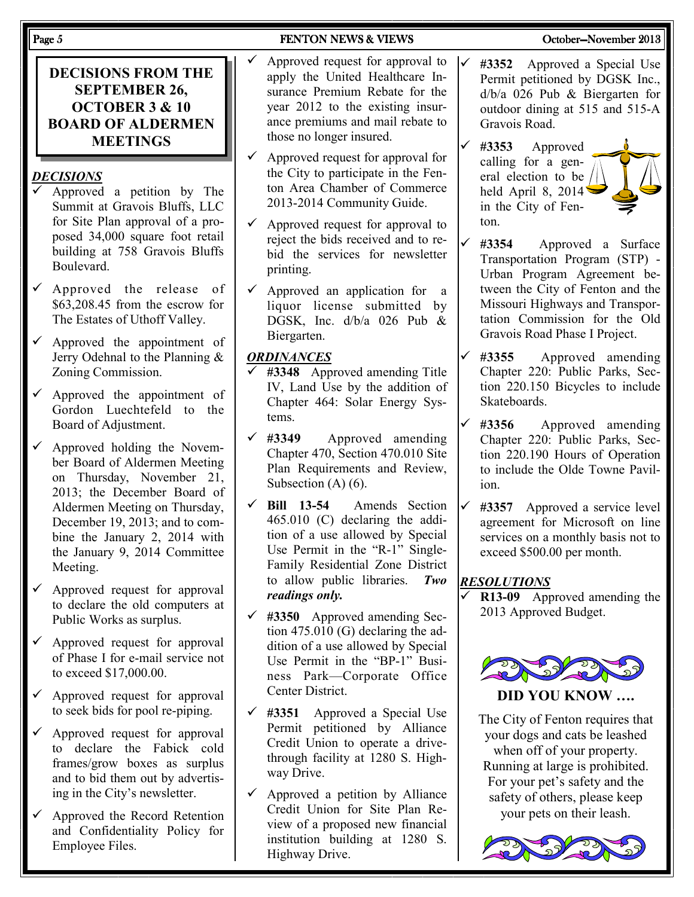DECISIONS FROM THE SEPTEMBER 26, OCTOBER 3 & 10 BOARD OF ALDERMEN MEETINGS

#### **DECISIONS**

- Approved a petition by The Summit at Gravois Bluffs, LLC for Site Plan approval of a proposed 34,000 square foot retail building at 758 Gravois Bluffs Boulevard.
- $\checkmark$  Approved the release of \$63,208.45 from the escrow for The Estates of Uthoff Valley.
- $\checkmark$  Approved the appointment of Jerry Odehnal to the Planning & Zoning Commission.
- $\checkmark$  Approved the appointment of Gordon Luechtefeld to the Board of Adjustment.
- Approved holding the November Board of Aldermen Meeting on Thursday, November 21, 2013; the December Board of Aldermen Meeting on Thursday, December 19, 2013; and to combine the January 2, 2014 with the January 9, 2014 Committee Meeting.
- $\checkmark$  Approved request for approval to declare the old computers at Public Works as surplus.
- $\checkmark$  Approved request for approval of Phase I for e-mail service not to exceed \$17,000.00.
- $\checkmark$  Approved request for approval to seek bids for pool re-piping.
- $\checkmark$  Approved request for approval to declare the Fabick cold frames/grow boxes as surplus and to bid them out by advertising in the City's newsletter.
- $\checkmark$  Approved the Record Retention and Confidentiality Policy for Employee Files.

#### Page 5 FENTON NEWS & VIEWS FENTON NEWS ASSESSMENT OCTOber—November 2013

- Approved request for approval to apply the United Healthcare Insurance Premium Rebate for the year 2012 to the existing insurance premiums and mail rebate to those no longer insured.
- $\checkmark$  Approved request for approval for the City to participate in the Fenton Area Chamber of Commerce 2013-2014 Community Guide.
- $\checkmark$  Approved request for approval to reject the bids received and to rebid the services for newsletter printing.
- $\checkmark$  Approved an application for a liquor license submitted by DGSK, Inc. d/b/a 026 Pub & Biergarten.

#### **ORDINANCES**

- #3348 Approved amending Title IV, Land Use by the addition of Chapter 464: Solar Energy Systems.
- $\checkmark$  #3349 Approved amending Chapter 470, Section 470.010 Site Plan Requirements and Review, Subsection (A) (6).
- $\checkmark$  Bill 13-54 Amends Section 465.010 (C) declaring the addition of a use allowed by Special Use Permit in the "R-1" Single-Family Residential Zone District to allow public libraries. Two readings only.
- $\checkmark$  #3350 Approved amending Section 475.010 (G) declaring the addition of a use allowed by Special Use Permit in the "BP-1" Business Park—Corporate Office Center District.
- $\checkmark$  #3351 Approved a Special Use Permit petitioned by Alliance Credit Union to operate a drivethrough facility at 1280 S. Highway Drive.
- $\checkmark$  Approved a petition by Alliance Credit Union for Site Plan Review of a proposed new financial institution building at 1280 S. Highway Drive.
- #3352 Approved a Special Use Permit petitioned by DGSK Inc., d/b/a 026 Pub & Biergarten for outdoor dining at 515 and 515-A Gravois Road.
- #3353 Approved calling for a general election to be / held April 8, 2014' in the City of Fenton.
- #3354 Approved a Surface Transportation Program (STP) - Urban Program Agreement between the City of Fenton and the Missouri Highways and Transportation Commission for the Old Gravois Road Phase I Project.
- $\checkmark$  #3355 Approved amending Chapter 220: Public Parks, Section 220.150 Bicycles to include **Skateboards**
- $\checkmark$  #3356 Approved amending Chapter 220: Public Parks, Section 220.190 Hours of Operation to include the Olde Towne Pavilion.
- $\checkmark$  #3357 Approved a service level agreement for Microsoft on line services on a monthly basis not to exceed \$500.00 per month.

#### **RESOLUTIONS**

 R13-09 Approved amending the 2013 Approved Budget.



DID YOU KNOW ….

The City of Fenton requires that your dogs and cats be leashed when off of your property. Running at large is prohibited. For your pet's safety and the safety of others, please keep your pets on their leash.